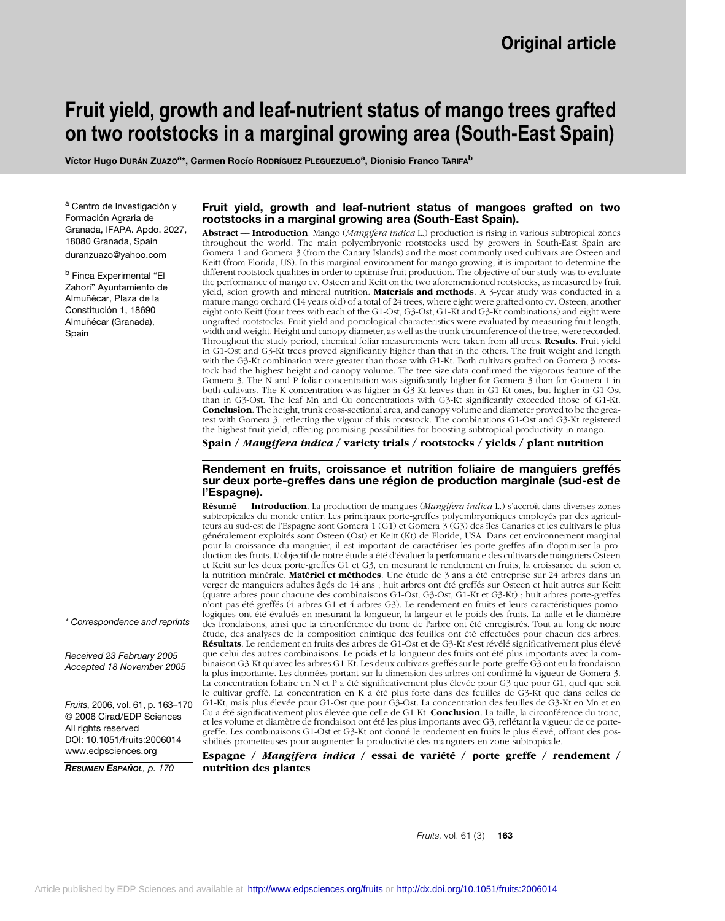# **Fruit yield, growth and leaf-nutrient status of mango trees grafted on two rootstocks in a marginal growing area (South-East Spain)**

**Víctor Hugo DURÁN ZUAZOa\*, Carmen Rocío RODRÍGUEZ PLEGUEZUELOa, Dionisio Franco TARIFAb**

a Centro de Investigación y Formación Agraria de Granada, IFAPA. Apdo. 2027, 18080 Granada, Spain duranzuazo@yahoo.com

<sup>b</sup> Finca Experimental "El Zahorí" Ayuntamiento de Almuñécar, Plaza de la Constitución 1, 18690 Almuñécar (Granada), Spain

### **Fruit yield, growth and leaf-nutrient status of mangoes grafted on two rootstocks in a marginal growing area (South-East Spain).**

**Abstract** –– **Introduction**. Mango (*Mangifera indica* L.) production is rising in various subtropical zones throughout the world. The main polyembryonic rootstocks used by growers in South-East Spain are Gomera 1 and Gomera 3 (from the Canary Islands) and the most commonly used cultivars are Osteen and Keitt (from Florida, US). In this marginal environment for mango growing, it is important to determine the different rootstock qualities in order to optimise fruit production. The objective of our study was to evaluate the performance of mango cv. Osteen and Keitt on the two aforementioned rootstocks, as measured by fruit yield, scion growth and mineral nutrition. **Materials and methods**. A 3-year study was conducted in a mature mango orchard (14 years old) of a total of 24 trees, where eight were grafted onto cv. Osteen, another eight onto Keitt (four trees with each of the G1-Ost, G3-Ost, G1-Kt and G3-Kt combinations) and eight were ungrafted rootstocks. Fruit yield and pomological characteristics were evaluated by measuring fruit length, width and weight. Height and canopy diameter, as well as the trunk circumference of the tree, were recorded. Throughout the study period, chemical foliar measurements were taken from all trees. **Results**. Fruit yield in G1-Ost and G3-Kt trees proved significantly higher than that in the others. The fruit weight and length with the G3-Kt combination were greater than those with G1-Kt. Both cultivars grafted on Gomera 3 rootstock had the highest height and canopy volume. The tree-size data confirmed the vigorous feature of the Gomera 3. The N and P foliar concentration was significantly higher for Gomera 3 than for Gomera 1 in both cultivars. The K concentration was higher in G3-Kt leaves than in G1-Kt ones, but higher in G1-Ost than in G3-Ost. The leaf Mn and Cu concentrations with G3-Kt significantly exceeded those of G1-Kt. **Conclusion**. The height, trunk cross-sectional area, and canopy volume and diameter proved to be the greatest with Gomera 3, reflecting the vigour of this rootstock. The combinations G1-Ost and G3-Kt registered the highest fruit yield, offering promising possibilities for boosting subtropical productivity in mango.

**Spain /** *Mangifera indica* **/ variety trials / rootstocks / yields / plant nutrition**

### **Rendement en fruits, croissance et nutrition foliaire de manguiers greffés sur deux porte-greffes dans une région de production marginale (sud-est de l'Espagne).**

**Résumé** –– **Introduction**. La production de mangues (*Mangifera indica* L.) s'accroît dans diverses zones subtropicales du monde entier. Les principaux porte-greffes polyembryoniques employés par des agriculteurs au sud-est de l'Espagne sont Gomera 1 (G1) et Gomera 3 (G3) des îles Canaries et les cultivars le plus généralement exploités sont Osteen (Ost) et Keitt (Kt) de Floride, USA. Dans cet environnement marginal pour la croissance du manguier, il est important de caractériser les porte-greffes afin d'optimiser la production des fruits. L'objectif de notre étude a été d'évaluer la performance des cultivars de manguiers Osteen et Keitt sur les deux porte-greffes G1 et G3, en mesurant le rendement en fruits, la croissance du scion et la nutrition minérale. **Matériel et méthodes**. Une étude de 3 ans a été entreprise sur 24 arbres dans un verger de manguiers adultes âgés de 14 ans ; huit arbres ont été greffés sur Osteen et huit autres sur Keitt (quatre arbres pour chacune des combinaisons G1-Ost, G3-Ost, G1-Kt et G3-Kt) ; huit arbres porte-greffes n'ont pas été greffés (4 arbres G1 et 4 arbres G3). Le rendement en fruits et leurs caractéristiques pomologiques ont été évalués en mesurant la longueur, la largeur et le poids des fruits. La taille et le diamètre des frondaisons, ainsi que la circonférence du tronc de l'arbre ont été enregistrés. Tout au long de notre étude, des analyses de la composition chimique des feuilles ont été effectuées pour chacun des arbres. **Résultats**. Le rendement en fruits des arbres de G1-Ost et de G3-Kt s'est révélé significativement plus élevé que celui des autres combinaisons. Le poids et la longueur des fruits ont été plus importants avec la combinaison G3-Kt qu'avec les arbres G1-Kt. Les deux cultivars greffés sur le porte-greffe G3 ont eu la frondaison la plus importante. Les données portant sur la dimension des arbres ont confirmé la vigueur de Gomera 3. La concentration foliaire en N et P a été significativement plus élevée pour G3 que pour G1, quel que soit le cultivar greffé. La concentration en K a été plus forte dans des feuilles de G3-Kt que dans celles de G1-Kt, mais plus élevée pour G1-Ost que pour G3-Ost. La concentration des feuilles de G3-Kt en Mn et en Cu a été significativement plus élevée que celle de G1-Kt. **Conclusion**. La taille, la circonférence du tronc, et les volume et diamètre de frondaison ont été les plus importants avec G3, reflétant la vigueur de ce portegreffe. Les combinaisons G1-Ost et G3-Kt ont donné le rendement en fruits le plus élevé, offrant des possibilités prometteuses pour augmenter la productivité des manguiers en zone subtropicale.

**Espagne /** *Mangifera indica* **/ essai de variété / porte greffe / rendement / nutrition des plantes**

*\* Correspondence and reprints*

*Received 23 February 2005 Accepted 18 November 2005*

*Fruits,* 2006, vol. 61, p. 163–170 © 2006 Cirad/EDP Sciences All rights reserved DOI: 10.1051/fruits:2006014 www.edpsciences.org

*RESUMEN ESPAÑOL, p. 170*

*Fruits,* vol. 61 (3) **163**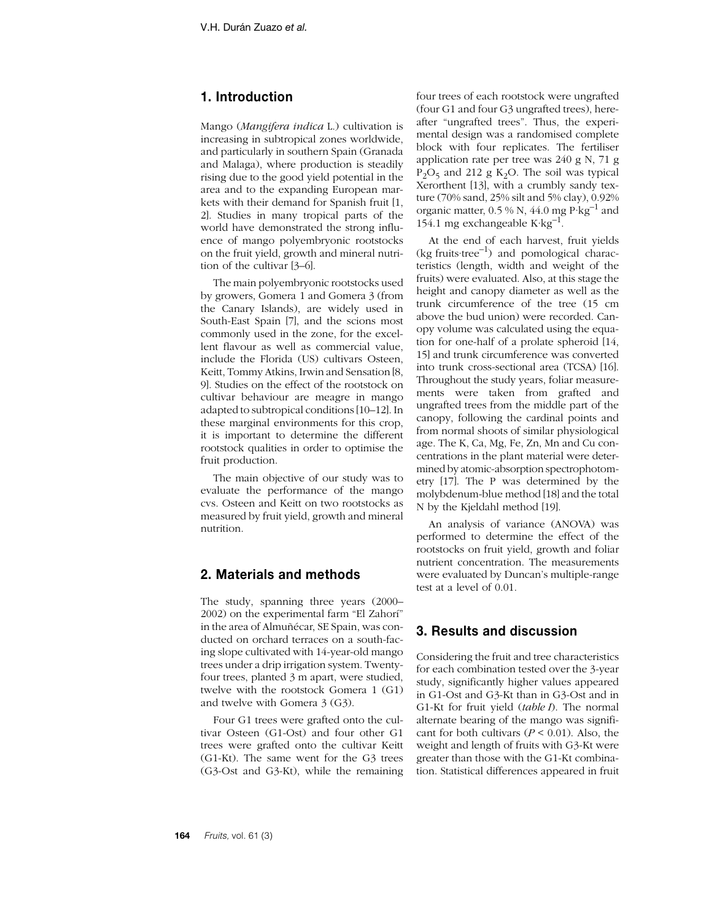# **1. Introduction**

Mango (*Mangifera indica* L.) cultivation is increasing in subtropical zones worldwide, and particularly in southern Spain (Granada and Malaga), where production is steadily rising due to the good yield potential in the area and to the expanding European markets with their demand for Spanish fruit [1, 2]. Studies in many tropical parts of the world have demonstrated the strong influence of mango polyembryonic rootstocks on the fruit yield, growth and mineral nutrition of the cultivar [3–6].

The main polyembryonic rootstocks used by growers, Gomera 1 and Gomera 3 (from the Canary Islands), are widely used in South-East Spain [7], and the scions most commonly used in the zone, for the excellent flavour as well as commercial value, include the Florida (US) cultivars Osteen, Keitt, Tommy Atkins, Irwin and Sensation [8, 9]. Studies on the effect of the rootstock on cultivar behaviour are meagre in mango adapted to subtropical conditions [10–12]. In these marginal environments for this crop, it is important to determine the different rootstock qualities in order to optimise the fruit production.

The main objective of our study was to evaluate the performance of the mango cvs. Osteen and Keitt on two rootstocks as measured by fruit yield, growth and mineral nutrition.

# **2. Materials and methods**

The study, spanning three years (2000– 2002) on the experimental farm "El Zahorí" in the area of Almuñécar, SE Spain, was conducted on orchard terraces on a south-facing slope cultivated with 14-year-old mango trees under a drip irrigation system. Twentyfour trees, planted 3 m apart, were studied, twelve with the rootstock Gomera 1 (G1) and twelve with Gomera 3 (G3).

Four G1 trees were grafted onto the cultivar Osteen (G1-Ost) and four other G1 trees were grafted onto the cultivar Keitt (G1-Kt). The same went for the G3 trees (G3-Ost and G3-Kt), while the remaining

four trees of each rootstock were ungrafted (four G1 and four G3 ungrafted trees), hereafter "ungrafted trees". Thus, the experimental design was a randomised complete block with four replicates. The fertiliser application rate per tree was 240 g N, 71 g  $P_2O_5$  and 212 g K<sub>2</sub>O. The soil was typical Xerorthent [13], with a crumbly sandy texture (70% sand, 25% silt and 5% clay), 0.92% organic matter,  $0.5\%$  N,  $44.0$  mg  $P \text{·kg}^{-1}$  and 154.1 mg exchangeable  $K \cdot kg^{-1}$ .

At the end of each harvest, fruit yields  $(kg$  fruits·tree<sup>-1</sup>) and pomological characteristics (length, width and weight of the fruits) were evaluated. Also, at this stage the height and canopy diameter as well as the trunk circumference of the tree (15 cm above the bud union) were recorded. Canopy volume was calculated using the equation for one-half of a prolate spheroid [14, 15] and trunk circumference was converted into trunk cross-sectional area (TCSA) [16]. Throughout the study years, foliar measurements were taken from grafted and ungrafted trees from the middle part of the canopy, following the cardinal points and from normal shoots of similar physiological age. The K, Ca, Mg, Fe, Zn, Mn and Cu concentrations in the plant material were determined by atomic-absorption spectrophotometry [17]. The P was determined by the molybdenum-blue method [18] and the total N by the Kjeldahl method [19].

An analysis of variance (ANOVA) was performed to determine the effect of the rootstocks on fruit yield, growth and foliar nutrient concentration. The measurements were evaluated by Duncan's multiple-range test at a level of 0.01.

# **3. Results and discussion**

Considering the fruit and tree characteristics for each combination tested over the 3-year study, significantly higher values appeared in G1-Ost and G3-Kt than in G3-Ost and in G1-Kt for fruit yield (*table I*). The normal alternate bearing of the mango was significant for both cultivars  $(P < 0.01)$ . Also, the weight and length of fruits with G3-Kt were greater than those with the G1-Kt combination. Statistical differences appeared in fruit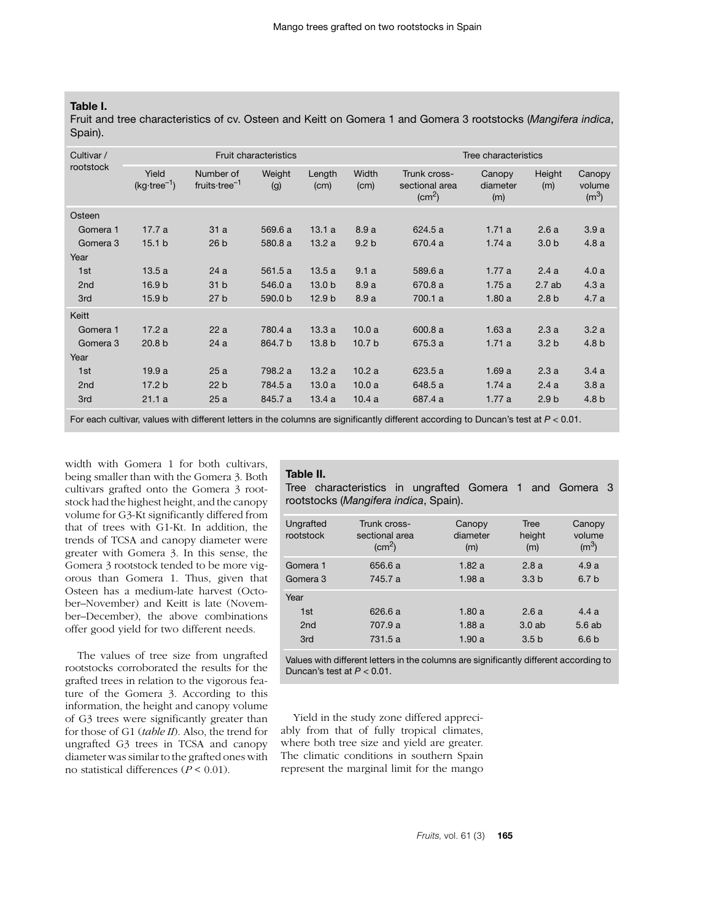## **Table I.**

Fruit and tree characteristics of cv. Osteen and Keitt on Gomera 1 and Gomera 3 rootstocks (*Mangifera indica*, Spain).

| Cultivar /<br>rootstock | <b>Fruit characteristics</b>    |                                        |               |                   |                   | Tree characteristics                                     |                           |                  |                             |
|-------------------------|---------------------------------|----------------------------------------|---------------|-------------------|-------------------|----------------------------------------------------------|---------------------------|------------------|-----------------------------|
|                         | Yield<br>$(kg \cdot tree^{-1})$ | Number of<br>fruits tree <sup>-1</sup> | Weight<br>(g) | Length<br>(cm)    | Width<br>(cm)     | Trunk cross-<br>sectional area<br>$\text{(cm}^2\text{)}$ | Canopy<br>diameter<br>(m) | Height<br>(m)    | Canopy<br>volume<br>$(m^3)$ |
| Osteen                  |                                 |                                        |               |                   |                   |                                                          |                           |                  |                             |
| Gomera 1                | 17.7 a                          | 31a                                    | 569.6 a       | 13.1a             | 8.9a              | 624.5 a                                                  | 1.71a                     | 2.6a             | 3.9a                        |
| Gomera 3                | 15.1 <sub>b</sub>               | 26 <sub>b</sub>                        | 580.8 a       | 13.2a             | 9.2 <sub>b</sub>  | 670.4 a                                                  | 1.74a                     | 3.0 <sub>b</sub> | 4.8a                        |
| Year                    |                                 |                                        |               |                   |                   |                                                          |                           |                  |                             |
| 1st                     | 13.5a                           | 24a                                    | 561.5 a       | 13.5a             | 9.1a              | 589.6 a                                                  | 1.77a                     | 2.4a             | 4.0a                        |
| 2 <sub>nd</sub>         | 16.9 <sub>b</sub>               | 31 <sub>b</sub>                        | 546.0 a       | 13.0 <sub>b</sub> | 8.9a              | 670.8 a                                                  | 1.75a                     | 2.7ab            | 4.3a                        |
| 3rd                     | 15.9 <sub>b</sub>               | 27 <sub>b</sub>                        | 590.0 b       | 12.9 <sub>b</sub> | 8.9a              | 700.1 a                                                  | 1.80a                     | 2.8 <sub>b</sub> | 4.7a                        |
| Keitt                   |                                 |                                        |               |                   |                   |                                                          |                           |                  |                             |
| Gomera 1                | 17.2a                           | 22a                                    | 780.4 a       | 13.3a             | 10.0a             | 600.8 a                                                  | 1.63a                     | 2.3a             | 3.2a                        |
| Gomera 3                | 20.8 <sub>b</sub>               | 24a                                    | 864.7 b       | 13.8 <sub>b</sub> | 10.7 <sub>b</sub> | 675.3 a                                                  | 1.71a                     | 3.2 <sub>b</sub> | 4.8 b                       |
| Year                    |                                 |                                        |               |                   |                   |                                                          |                           |                  |                             |
| 1st                     | 19.9a                           | 25a                                    | 798.2 a       | 13.2a             | 10.2a             | 623.5 a                                                  | 1.69a                     | 2.3a             | 3.4a                        |
| 2 <sub>nd</sub>         | 17.2 <sub>b</sub>               | 22 <sub>b</sub>                        | 784.5 a       | 13.0a             | 10.0a             | 648.5 a                                                  | 1.74a                     | 2.4a             | 3.8a                        |
| 3rd                     | 21.1a                           | 25a                                    | 845.7 a       | 13.4a             | 10.4a             | 687.4 a                                                  | 1.77a                     | 2.9 <sub>b</sub> | 4.8 <sub>b</sub>            |

For each cultivar, values with different letters in the columns are significantly different according to Duncan's test at *P* < 0.01.

width with Gomera 1 for both cultivars, being smaller than with the Gomera 3. Both cultivars grafted onto the Gomera 3 rootstock had the highest height, and the canopy volume for G3-Kt significantly differed from that of trees with G1-Kt. In addition, the trends of TCSA and canopy diameter were greater with Gomera 3. In this sense, the Gomera 3 rootstock tended to be more vigorous than Gomera 1. Thus, given that Osteen has a medium-late harvest (October–November) and Keitt is late (November–December), the above combinations offer good yield for two different needs.

The values of tree size from ungrafted rootstocks corroborated the results for the grafted trees in relation to the vigorous feature of the Gomera 3. According to this information, the height and canopy volume of G3 trees were significantly greater than for those of G1 (*table II*). Also, the trend for ungrafted G3 trees in TCSA and canopy diameter was similar to the grafted ones with no statistical differences (*P* < 0.01).

#### **Table II.**

Tree characteristics in ungrafted Gomera 1 and Gomera 3 rootstocks (*Mangifera indica*, Spain).

| Ungrafted<br>rootstock                | Trunk cross-<br>sectional area<br>$\rm (cm^2)$ | Canopy<br>diameter<br>(m) | Tree<br>height<br>(m)             | Canopy<br>volume<br>$(m^3)$       |
|---------------------------------------|------------------------------------------------|---------------------------|-----------------------------------|-----------------------------------|
| Gomera 1<br>Gomera 3                  | 656.6 a<br>745.7 a                             | 1.82a<br>1.98a            | 2.8a<br>3.3 <sub>b</sub>          | 4.9a<br>6.7 <sub>b</sub>          |
| Year<br>1st<br>2 <sub>nd</sub><br>3rd | 626.6 a<br>707.9 a<br>731.5a                   | 1.80a<br>1.88a<br>1.90a   | 2.6a<br>3.0ab<br>3.5 <sub>b</sub> | 4.4a<br>5.6ab<br>6.6 <sub>b</sub> |

Values with different letters in the columns are significantly different according to Duncan's test at *P* < 0.01.

Yield in the study zone differed appreciably from that of fully tropical climates, where both tree size and yield are greater. The climatic conditions in southern Spain represent the marginal limit for the mango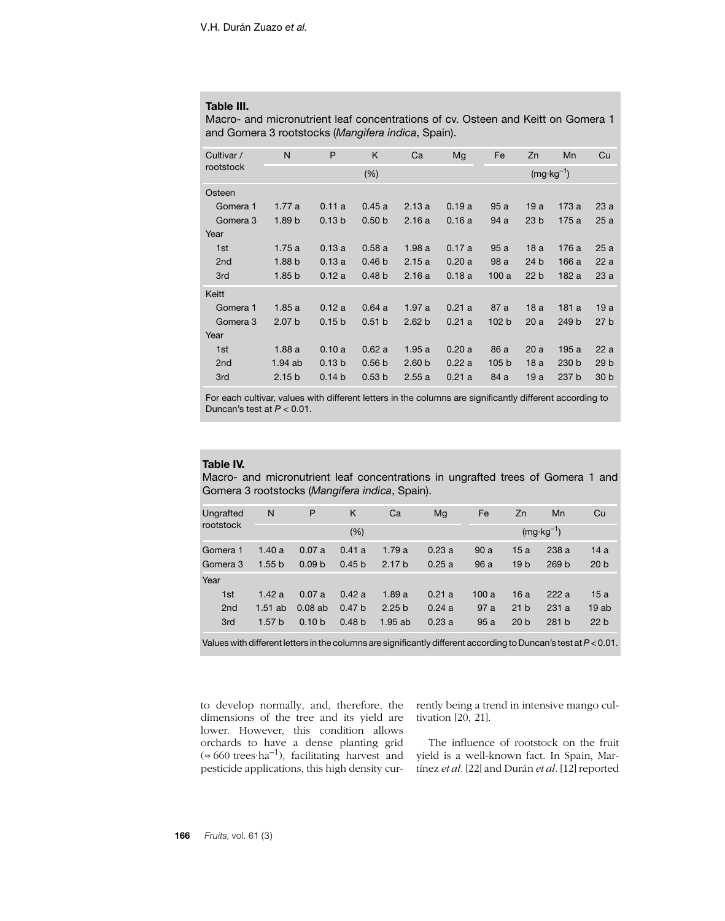### **Table III.**

Macro- and micronutrient leaf concentrations of cv. Osteen and Keitt on Gomera 1 and Gomera 3 rootstocks (*Mangifera indica*, Spain).

| Cultivar /      | N                 | P                 | K                 | Ca                   | Mg    | Fe               | Zn              | Mn    | Cu              |
|-----------------|-------------------|-------------------|-------------------|----------------------|-------|------------------|-----------------|-------|-----------------|
| rootstock       |                   |                   | (% )              | $(mg \cdot kg^{-1})$ |       |                  |                 |       |                 |
| Osteen          |                   |                   |                   |                      |       |                  |                 |       |                 |
| Gomera 1        | 1.77a             | 0.11a             | 0.45a             | 2.13a                | 0.19a | 95a              | 19a             | 173 a | 23a             |
| Gomera 3        | 1.89 <sub>b</sub> | 0.13 <sub>b</sub> | 0.50 <sub>b</sub> | 2.16a                | 0.16a | 94 a             | 23 <sub>b</sub> | 175a  | 25a             |
| Year            |                   |                   |                   |                      |       |                  |                 |       |                 |
| 1st             | 1.75a             | 0.13a             | 0.58a             | 1.98a                | 0.17a | 95a              | 18a             | 176 a | 25a             |
| 2 <sub>nd</sub> | 1.88 <sub>b</sub> | 0.13a             | 0.46 <sub>b</sub> | 2.15a                | 0.20a | 98 a             | 24 b            | 166 a | 22a             |
| 3rd             | 1.85 <sub>b</sub> | 0.12a             | 0.48 <sub>b</sub> | 2.16a                | 0.18a | 100a             | 22 <sub>b</sub> | 182 a | 23a             |
| Keitt           |                   |                   |                   |                      |       |                  |                 |       |                 |
| Gomera 1        | 1.85a             | 0.12a             | 0.64a             | 1.97a                | 0.21a | 87 a             | 18a             | 181a  | 19a             |
| Gomera 3        | 2.07 <sub>b</sub> | 0.15 <sub>b</sub> | 0.51 <sub>b</sub> | 2.62 <sub>b</sub>    | 0.21a | 102 <sub>b</sub> | 20a             | 249 b | 27 <sub>b</sub> |
| Year            |                   |                   |                   |                      |       |                  |                 |       |                 |
| 1st             | 1.88a             | 0.10a             | 0.62a             | 1.95a                | 0.20a | 86 a             | 20a             | 195 a | 22a             |
| 2 <sub>nd</sub> | 1.94ab            | 0.13 <sub>b</sub> | 0.56 <sub>b</sub> | 2.60 <sub>b</sub>    | 0.22a | 105 <sub>b</sub> | 18a             | 230 b | 29 <sub>b</sub> |
| 3rd             | 2.15 <sub>b</sub> | 0.14 <sub>b</sub> | 0.53 <sub>b</sub> | 2.55a                | 0.21a | 84 a             | 19a             | 237 b | 30 <sub>b</sub> |

For each cultivar, values with different letters in the columns are significantly different according to Duncan's test at *P* < 0.01.

#### **Table IV.**

Macro- and micronutrient leaf concentrations in ungrafted trees of Gomera 1 and Gomera 3 rootstocks (*Mangifera indica*, Spain).

| Ungrafted<br>rootstock                                                                                                                   | N                 | P                 | K                 | Ca                | Mq                   | Fe   | Zn              | Mn               | Cu              |
|------------------------------------------------------------------------------------------------------------------------------------------|-------------------|-------------------|-------------------|-------------------|----------------------|------|-----------------|------------------|-----------------|
|                                                                                                                                          |                   |                   | (%)               |                   | $(mg \cdot kg^{-1})$ |      |                 |                  |                 |
| Gomera 1                                                                                                                                 | 1.40a             | 0.07a             | 0.41a             | 1.79a             | 0.23a                | 90a  | 15a             | 238a             | 14 a            |
| Gomera 3                                                                                                                                 | 1.55 <sub>b</sub> | 0.09 <sub>b</sub> | 0.45 <sub>b</sub> | 2.17 <sub>b</sub> | 0.25a                | 96a  | 19 <sub>b</sub> | 269 <sub>b</sub> | 20 <sub>b</sub> |
| Year                                                                                                                                     |                   |                   |                   |                   |                      |      |                 |                  |                 |
| 1st                                                                                                                                      | 1.42a             | 0.07a             | 0.42a             | 1.89a             | 0.21a                | 100a | 16a             | 222a             | 15a             |
| 2 <sub>nd</sub>                                                                                                                          | $1.51$ ab         | $0.08$ ab         | 0.47 <sub>b</sub> | 2.25 <sub>b</sub> | 0.24a                | 97a  | 21 <sub>b</sub> | 231a             | 19ab            |
| 3rd                                                                                                                                      | 1.57 <sub>b</sub> | 0.10 <sub>b</sub> | 0.48 <sub>b</sub> | $1.95$ ab         | 0.23a                | 95a  | 20 <sub>b</sub> | 281 b            | 22 <sub>b</sub> |
| $M_{\rm H}$ is a set of the content of the content of the set of $M_{\rm H}$ and the set of the $\sim$ . The set of $\sim$ $\sim$ $\sim$ |                   |                   |                   |                   |                      |      |                 |                  |                 |

Values with different letters in the columns are significantly different according to Duncan's test at *P* < 0.01.

to develop normally, and, therefore, the dimensions of the tree and its yield are lower. However, this condition allows orchards to have a dense planting grid (≈ 660 trees·ha–1), facilitating harvest and pesticide applications, this high density currently being a trend in intensive mango cultivation [20, 21].

The influence of rootstock on the fruit yield is a well-known fact. In Spain, Martínez *et al.* [22] and Durán *et al.* [12] reported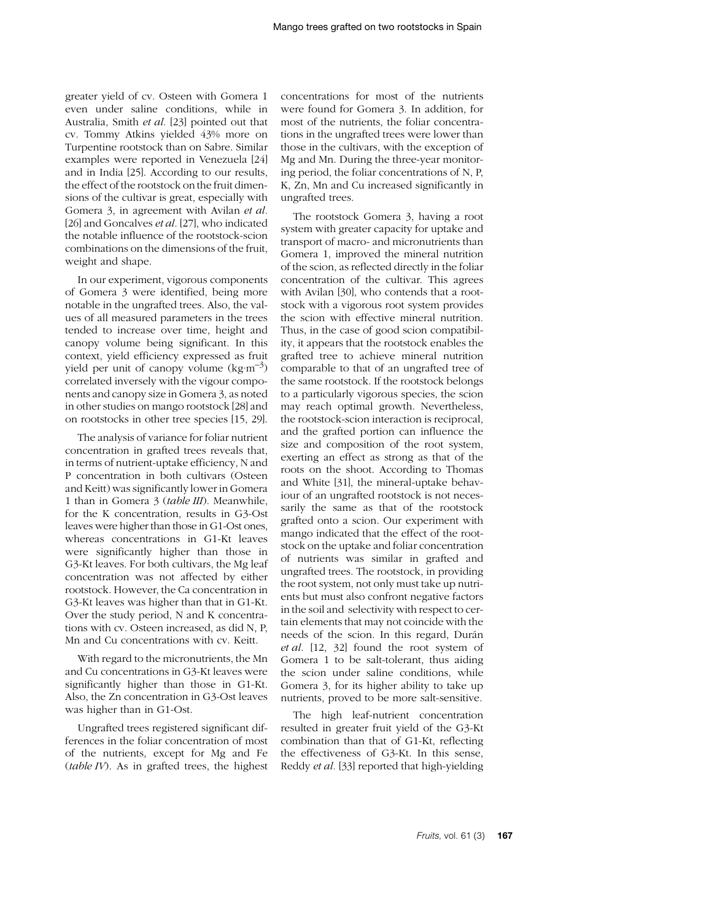greater yield of cv. Osteen with Gomera 1 even under saline conditions, while in Australia, Smith *et al.* [23] pointed out that cv. Tommy Atkins yielded 43% more on Turpentine rootstock than on Sabre. Similar examples were reported in Venezuela [24] and in India [25]. According to our results, the effect of the rootstock on the fruit dimensions of the cultivar is great, especially with Gomera 3, in agreement with Avilan *et al.* [26] and Goncalves *et al.* [27], who indicated the notable influence of the rootstock-scion combinations on the dimensions of the fruit, weight and shape.

In our experiment, vigorous components of Gomera 3 were identified, being more notable in the ungrafted trees. Also, the values of all measured parameters in the trees tended to increase over time, height and canopy volume being significant. In this context, yield efficiency expressed as fruit yield per unit of canopy volume  $(\text{kg}\cdot\text{m}^{-3})$ correlated inversely with the vigour components and canopy size in Gomera 3, as noted in other studies on mango rootstock [28] and on rootstocks in other tree species [15, 29].

The analysis of variance for foliar nutrient concentration in grafted trees reveals that, in terms of nutrient-uptake efficiency, N and P concentration in both cultivars (Osteen and Keitt) was significantly lower in Gomera 1 than in Gomera 3 (*table III*). Meanwhile, for the K concentration, results in G3-Ost leaves were higher than those in G1-Ost ones, whereas concentrations in G1-Kt leaves were significantly higher than those in G3-Kt leaves. For both cultivars, the Mg leaf concentration was not affected by either rootstock. However, the Ca concentration in G3-Kt leaves was higher than that in G1-Kt. Over the study period, N and K concentrations with cv. Osteen increased, as did N, P, Mn and Cu concentrations with cv. Keitt.

With regard to the micronutrients, the Mn and Cu concentrations in G3-Kt leaves were significantly higher than those in G1-Kt. Also, the Zn concentration in G3-Ost leaves was higher than in G1-Ost.

Ungrafted trees registered significant differences in the foliar concentration of most of the nutrients, except for Mg and Fe (*table IV*). As in grafted trees, the highest concentrations for most of the nutrients were found for Gomera 3. In addition, for most of the nutrients, the foliar concentrations in the ungrafted trees were lower than those in the cultivars, with the exception of Mg and Mn. During the three-year monitoring period, the foliar concentrations of N, P, K, Zn, Mn and Cu increased significantly in ungrafted trees.

The rootstock Gomera 3, having a root system with greater capacity for uptake and transport of macro- and micronutrients than Gomera 1, improved the mineral nutrition of the scion, as reflected directly in the foliar concentration of the cultivar. This agrees with Avilan [30], who contends that a rootstock with a vigorous root system provides the scion with effective mineral nutrition. Thus, in the case of good scion compatibility, it appears that the rootstock enables the grafted tree to achieve mineral nutrition comparable to that of an ungrafted tree of the same rootstock. If the rootstock belongs to a particularly vigorous species, the scion may reach optimal growth. Nevertheless, the rootstock-scion interaction is reciprocal, and the grafted portion can influence the size and composition of the root system, exerting an effect as strong as that of the roots on the shoot. According to Thomas and White [31], the mineral-uptake behaviour of an ungrafted rootstock is not necessarily the same as that of the rootstock grafted onto a scion. Our experiment with mango indicated that the effect of the rootstock on the uptake and foliar concentration of nutrients was similar in grafted and ungrafted trees. The rootstock, in providing the root system, not only must take up nutrients but must also confront negative factors in the soil and selectivity with respect to certain elements that may not coincide with the needs of the scion. In this regard, Durán *et al.* [12, 32] found the root system of Gomera 1 to be salt-tolerant, thus aiding the scion under saline conditions, while Gomera 3, for its higher ability to take up nutrients, proved to be more salt-sensitive.

The high leaf-nutrient concentration resulted in greater fruit yield of the G3-Kt combination than that of G1-Kt, reflecting the effectiveness of G3-Kt. In this sense, Reddy *et al.* [33] reported that high-yielding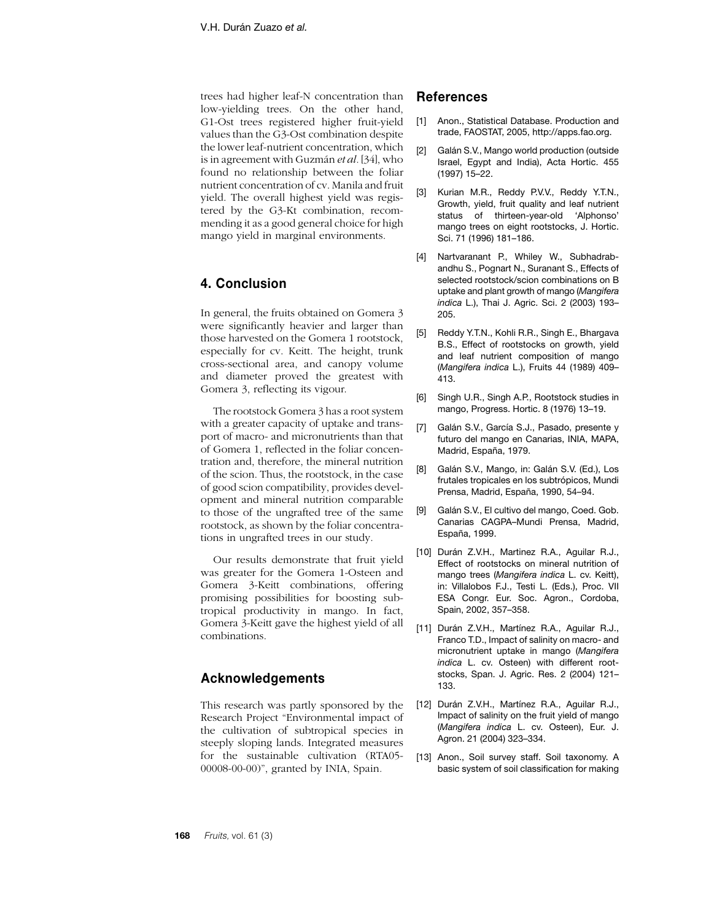trees had higher leaf-N concentration than low-yielding trees. On the other hand, G1-Ost trees registered higher fruit-yield values than the G3-Ost combination despite the lower leaf-nutrient concentration, which is in agreement with Guzmán *et al.* [34], who found no relationship between the foliar nutrient concentration of cv. Manila and fruit yield. The overall highest yield was registered by the G3-Kt combination, recommending it as a good general choice for high mango yield in marginal environments.

# **4. Conclusion**

In general, the fruits obtained on Gomera 3 were significantly heavier and larger than those harvested on the Gomera 1 rootstock, especially for cv. Keitt. The height, trunk cross-sectional area, and canopy volume and diameter proved the greatest with Gomera 3, reflecting its vigour.

The rootstock Gomera 3 has a root system with a greater capacity of uptake and transport of macro- and micronutrients than that of Gomera 1, reflected in the foliar concentration and, therefore, the mineral nutrition of the scion. Thus, the rootstock, in the case of good scion compatibility, provides development and mineral nutrition comparable to those of the ungrafted tree of the same rootstock, as shown by the foliar concentrations in ungrafted trees in our study.

Our results demonstrate that fruit yield was greater for the Gomera 1-Osteen and Gomera 3-Keitt combinations, offering promising possibilities for boosting subtropical productivity in mango. In fact, Gomera 3-Keitt gave the highest yield of all combinations.

### **Acknowledgements**

This research was partly sponsored by the Research Project "Environmental impact of the cultivation of subtropical species in steeply sloping lands. Integrated measures for the sustainable cultivation (RTA05- 00008-00-00)", granted by INIA, Spain*.*

### **References**

- [1] Anon., Statistical Database. Production and trade, FAOSTAT, 2005, http://apps.fao.org.
- [2] Galán S.V., Mango world production (outside Israel, Egypt and India), Acta Hortic. 455 (1997) 15–22.
- [3] Kurian M.R., Reddy P.V.V., Reddy Y.T.N., Growth, yield, fruit quality and leaf nutrient status of thirteen-year-old 'Alphonso' mango trees on eight rootstocks, J. Hortic. Sci. 71 (1996) 181–186.
- [4] Nartvaranant P., Whiley W., Subhadrabandhu S., Pognart N., Suranant S., Effects of selected rootstock/scion combinations on B uptake and plant growth of mango (*Mangifera indica* L.), Thai J. Agric. Sci. 2 (2003) 193– 205.
- [5] Reddy Y.T.N., Kohli R.R., Singh E., Bhargava B.S., Effect of rootstocks on growth, yield and leaf nutrient composition of mango (*Mangifera indica* L.), Fruits 44 (1989) 409– 413.
- [6] Singh U.R., Singh A.P., Rootstock studies in mango, Progress. Hortic. 8 (1976) 13–19.
- [7] Galán S.V., García S.J., Pasado, presente y futuro del mango en Canarias, INIA, MAPA, Madrid, España, 1979.
- [8] Galán S.V., Mango, in: Galán S.V. (Ed.), Los frutales tropicales en los subtrópicos, Mundi Prensa, Madrid, España, 1990, 54–94.
- [9] Galán S.V., El cultivo del mango, Coed. Gob. Canarias CAGPA–Mundi Prensa, Madrid, España, 1999.
- [10] Durán Z.V.H., Martinez R.A., Aguilar R.J., Effect of rootstocks on mineral nutrition of mango trees (*Mangifera indica* L. cv. Keitt), in: Villalobos F.J., Testi L. (Eds.), Proc. VII ESA Congr. Eur. Soc. Agron., Cordoba, Spain, 2002, 357–358.
- [11] Durán Z.V.H., Martínez R.A., Aguilar R.J., Franco T.D., Impact of salinity on macro- and micronutrient uptake in mango (*Mangifera indica* L. cv. Osteen) with different rootstocks, Span. J. Agric. Res. 2 (2004) 121– 133.
- [12] Durán Z.V.H., Martínez R.A., Aguilar R.J., Impact of salinity on the fruit yield of mango (*Mangifera indica* L. cv. Osteen), Eur. J. Agron. 21 (2004) 323–334.
- [13] Anon., Soil survey staff. Soil taxonomy. A basic system of soil classification for making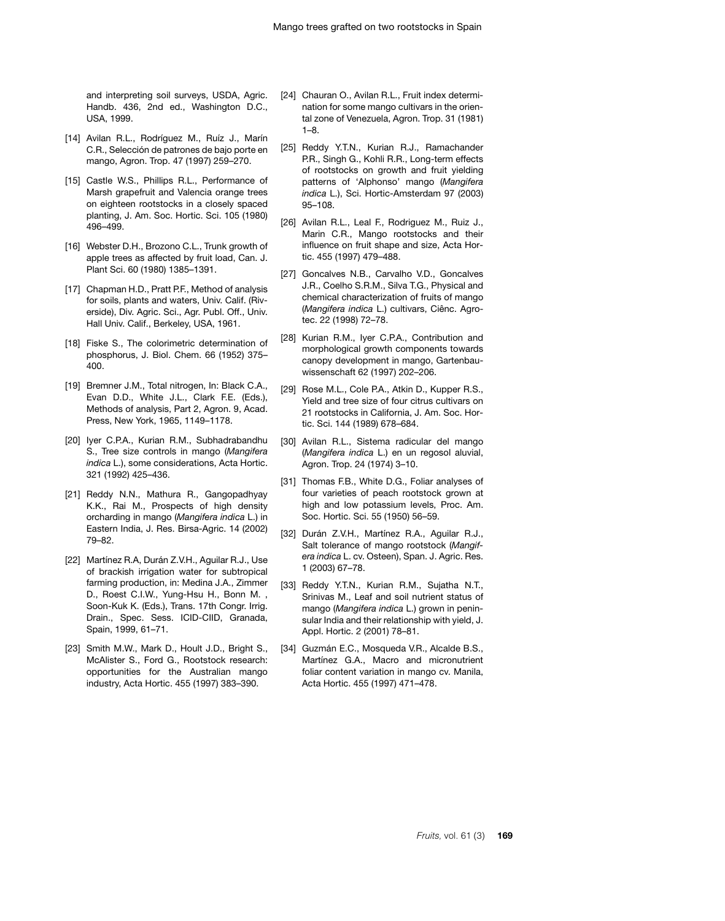and interpreting soil surveys, USDA, Agric. Handb. 436, 2nd ed., Washington D.C., USA, 1999.

- [14] Avilan R.L., Rodríguez M., Ruíz J., Marín C.R., Selección de patrones de bajo porte en mango, Agron. Trop. 47 (1997) 259–270.
- [15] Castle W.S., Phillips R.L., Performance of Marsh grapefruit and Valencia orange trees on eighteen rootstocks in a closely spaced planting, J. Am. Soc. Hortic. Sci. 105 (1980) 496–499.
- [16] Webster D.H., Brozono C.L., Trunk growth of apple trees as affected by fruit load, Can. J. Plant Sci. 60 (1980) 1385–1391.
- [17] Chapman H.D., Pratt P.F., Method of analysis for soils, plants and waters, Univ. Calif. (Riverside), Div. Agric. Sci., Agr. Publ. Off., Univ. Hall Univ. Calif., Berkeley, USA, 1961.
- [18] Fiske S., The colorimetric determination of phosphorus, J. Biol. Chem. 66 (1952) 375– 400.
- [19] Bremner J.M., Total nitrogen, In: Black C.A., Evan D.D., White J.L., Clark F.E. (Eds.), Methods of analysis, Part 2, Agron. 9, Acad. Press, New York, 1965, 1149–1178.
- [20] Iyer C.P.A., Kurian R.M., Subhadrabandhu S., Tree size controls in mango (*Mangifera indica* L.), some considerations, Acta Hortic. 321 (1992) 425–436.
- [21] Reddy N.N., Mathura R., Gangopadhyay K.K., Rai M., Prospects of high density orcharding in mango (*Mangifera indica* L.) in Eastern India, J. Res. Birsa-Agric. 14 (2002) 79–82.
- [22] Martínez R.A, Durán Z.V.H., Aguilar R.J., Use of brackish irrigation water for subtropical farming production, in: Medina J.A., Zimmer D., Roest C.I.W., Yung-Hsu H., Bonn M. , Soon-Kuk K. (Eds.), Trans. 17th Congr. Irrig. Drain., Spec. Sess. ICID-CIID, Granada, Spain, 1999, 61–71.
- [23] Smith M.W., Mark D., Hoult J.D., Bright S., McAlister S., Ford G., Rootstock research: opportunities for the Australian mango industry, Acta Hortic. 455 (1997) 383–390.
- [24] Chauran O., Avilan R.L., Fruit index determination for some mango cultivars in the oriental zone of Venezuela, Agron. Trop. 31 (1981) 1–8.
- [25] Reddy Y.T.N., Kurian R.J., Ramachander P.R., Singh G., Kohli R.R., Long-term effects of rootstocks on growth and fruit yielding patterns of 'Alphonso' mango (*Mangifera indica* L.), Sci. Hortic-Amsterdam 97 (2003) 95–108.
- [26] Avilan R.L., Leal F., Rodriguez M., Ruiz J., Marin C.R., Mango rootstocks and their influence on fruit shape and size, Acta Hortic. 455 (1997) 479–488.
- [27] Goncalves N.B., Carvalho V.D., Goncalves J.R., Coelho S.R.M., Silva T.G., Physical and chemical characterization of fruits of mango (*Mangifera indica* L.) cultivars, Ciênc. Agrotec. 22 (1998) 72–78.
- [28] Kurian R.M., Iyer C.P.A., Contribution and morphological growth components towards canopy development in mango, Gartenbauwissenschaft 62 (1997) 202–206.
- [29] Rose M.L., Cole P.A., Atkin D., Kupper R.S., Yield and tree size of four citrus cultivars on 21 rootstocks in California, J. Am. Soc. Hortic. Sci. 144 (1989) 678–684.
- [30] Avilan R.L., Sistema radicular del mango (*Mangifera indica* L.) en un regosol aluvial, Agron. Trop. 24 (1974) 3–10.
- [31] Thomas F.B., White D.G., Foliar analyses of four varieties of peach rootstock grown at high and low potassium levels, Proc. Am. Soc. Hortic. Sci. 55 (1950) 56–59.
- [32] Durán Z.V.H., Martínez R.A., Aguilar R.J., Salt tolerance of mango rootstock (*Mangifera indica* L. cv. Osteen), Span. J. Agric. Res. 1 (2003) 67–78.
- [33] Reddy Y.T.N., Kurian R.M., Sujatha N.T., Srinivas M., Leaf and soil nutrient status of mango (*Mangifera indica* L.) grown in peninsular India and their relationship with yield, J. Appl. Hortic. 2 (2001) 78–81.
- [34] Guzmán E.C., Mosqueda V.R., Alcalde B.S., Martínez G.A., Macro and micronutrient foliar content variation in mango cv. Manila, Acta Hortic. 455 (1997) 471–478.